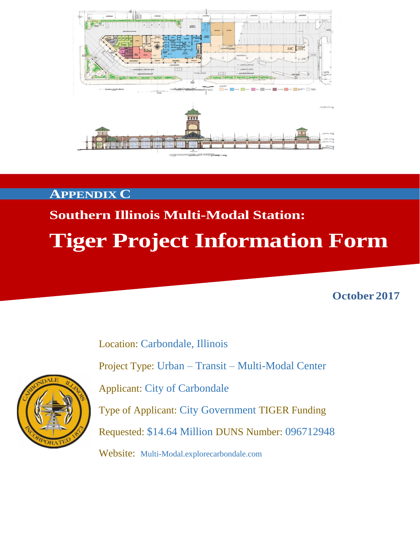

#### **APPENDIX C**

# **Southern Illinois Multi-Modal Station: Tiger Project Information Form**

**October 2017**

Location: Carbondale, Illinois Project Type: Urban – Transit – Multi-Modal Center Applicant: City of Carbondale Type of Applicant: City Government TIGER Funding Requested: \$14.64 Million DUNS Number: 096712948



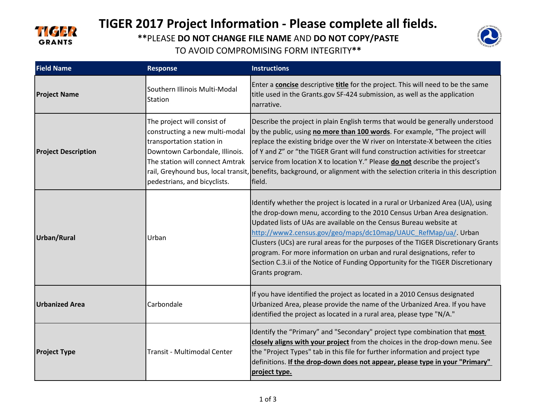

# **TIGER 2017 Project Information - Please complete all fields.**

**\*\***PLEASE **DO NOT CHANGE FILE NAME** AND **DO NOT COPY/PASTE** 



TO AVOID COMPROMISING FORM INTEGRITY**\*\***

| <b>Field Name</b>          | <b>Response</b>                                                                                                                                                                                 | <b>Instructions</b>                                                                                                                                                                                                                                                                                                                                                                                                                                                                                                                                                        |
|----------------------------|-------------------------------------------------------------------------------------------------------------------------------------------------------------------------------------------------|----------------------------------------------------------------------------------------------------------------------------------------------------------------------------------------------------------------------------------------------------------------------------------------------------------------------------------------------------------------------------------------------------------------------------------------------------------------------------------------------------------------------------------------------------------------------------|
| <b>Project Name</b>        | Southern Illinois Multi-Modal<br><b>Station</b>                                                                                                                                                 | Enter a <b>concise</b> descriptive <b>title</b> for the project. This will need to be the same<br>title used in the Grants.gov SF-424 submission, as well as the application<br>narrative.                                                                                                                                                                                                                                                                                                                                                                                 |
| <b>Project Description</b> | The project will consist of<br>constructing a new multi-modal<br>transportation station in<br>Downtown Carbondale, Illinois.<br>The station will connect Amtrak<br>pedestrians, and bicyclists. | Describe the project in plain English terms that would be generally understood<br>by the public, using no more than 100 words. For example, "The project will<br>replace the existing bridge over the W river on Interstate-X between the cities<br>of Y and Z" or "the TIGER Grant will fund construction activities for streetcar<br>service from location X to location Y." Please <b>do not</b> describe the project's<br>rail, Greyhound bus, local transit, benefits, background, or alignment with the selection criteria in this description<br>field.             |
| Urban/Rural                | Urban                                                                                                                                                                                           | Identify whether the project is located in a rural or Urbanized Area (UA), using<br>the drop-down menu, according to the 2010 Census Urban Area designation.<br>Updated lists of UAs are available on the Census Bureau website at<br>http://www2.census.gov/geo/maps/dc10map/UAUC_RefMap/ua/. Urban<br>Clusters (UCs) are rural areas for the purposes of the TIGER Discretionary Grants<br>program. For more information on urban and rural designations, refer to<br>Section C.3.ii of the Notice of Funding Opportunity for the TIGER Discretionary<br>Grants program. |
| <b>Urbanized Area</b>      | Carbondale                                                                                                                                                                                      | If you have identified the project as located in a 2010 Census designated<br>Urbanized Area, please provide the name of the Urbanized Area. If you have<br>identified the project as located in a rural area, please type "N/A."                                                                                                                                                                                                                                                                                                                                           |
| <b>Project Type</b>        | Transit - Multimodal Center                                                                                                                                                                     | Identify the "Primary" and "Secondary" project type combination that <b>most</b><br>closely aligns with your project from the choices in the drop-down menu. See<br>the "Project Types" tab in this file for further information and project type<br>definitions. If the drop-down does not appear, please type in your "Primary"<br>project type.                                                                                                                                                                                                                         |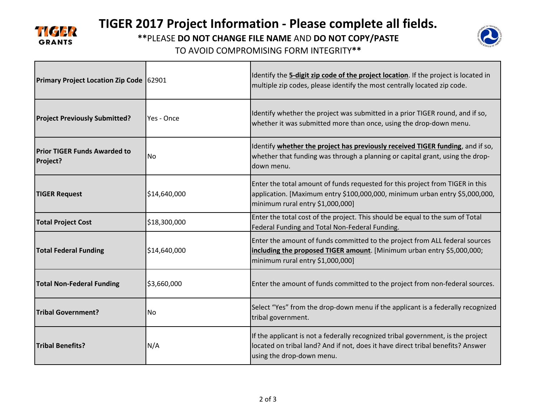

## **TIGER 2017 Project Information - Please complete all fields.**

**\*\***PLEASE **DO NOT CHANGE FILE NAME** AND **DO NOT COPY/PASTE** 

TO AVOID COMPROMISING FORM INTEGRITY**\*\***



| Primary Project Location Zip Code 62901         |                | Identify the 5-digit zip code of the project location. If the project is located in<br>multiple zip codes, please identify the most centrally located zip code.                                  |
|-------------------------------------------------|----------------|--------------------------------------------------------------------------------------------------------------------------------------------------------------------------------------------------|
| <b>Project Previously Submitted?</b>            | Yes - Once     | Identify whether the project was submitted in a prior TIGER round, and if so,<br>whether it was submitted more than once, using the drop-down menu.                                              |
| <b>Prior TIGER Funds Awarded to</b><br>Project? | N <sub>o</sub> | Identify whether the project has previously received TIGER funding, and if so,<br>whether that funding was through a planning or capital grant, using the drop-<br>down menu.                    |
| <b>TIGER Request</b>                            | \$14,640,000   | Enter the total amount of funds requested for this project from TIGER in this<br>application. [Maximum entry \$100,000,000, minimum urban entry \$5,000,000,<br>minimum rural entry \$1,000,000] |
| <b>Total Project Cost</b>                       | \$18,300,000   | Enter the total cost of the project. This should be equal to the sum of Total<br>Federal Funding and Total Non-Federal Funding.                                                                  |
| <b>Total Federal Funding</b>                    | \$14,640,000   | Enter the amount of funds committed to the project from ALL federal sources<br>including the proposed TIGER amount. [Minimum urban entry \$5,000,000;<br>minimum rural entry \$1,000,000]        |
| <b>Total Non-Federal Funding</b>                | \$3,660,000    | Enter the amount of funds committed to the project from non-federal sources.                                                                                                                     |
| <b>Tribal Government?</b>                       | <b>No</b>      | Select "Yes" from the drop-down menu if the applicant is a federally recognized<br>tribal government.                                                                                            |
| <b>Tribal Benefits?</b>                         | N/A            | If the applicant is not a federally recognized tribal government, is the project<br>located on tribal land? And if not, does it have direct tribal benefits? Answer<br>using the drop-down menu. |